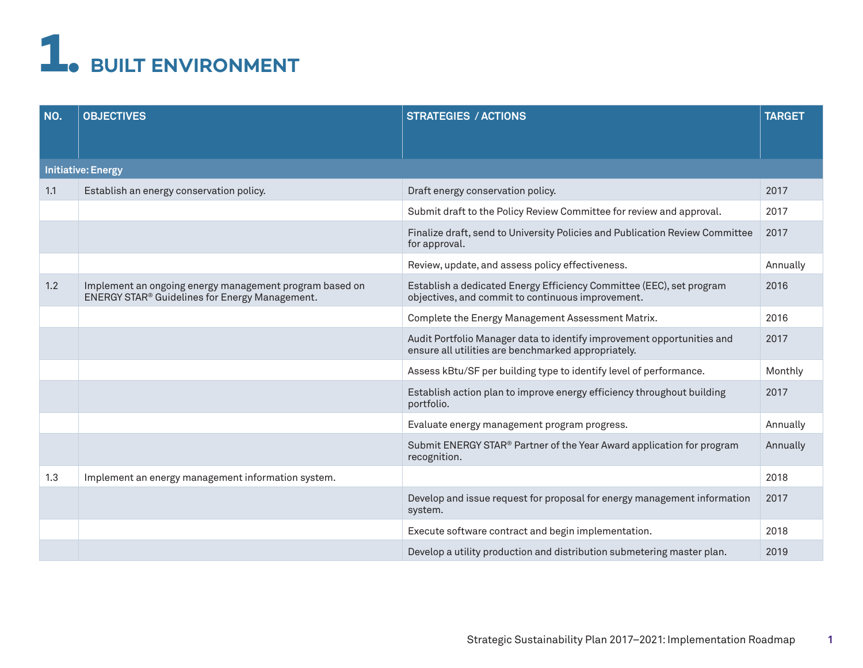## **1. BUILT ENVIRONMENT**

| NO.                       | <b>OBJECTIVES</b>                                                                                         | <b>STRATEGIES / ACTIONS</b>                                                                                                   | <b>TARGET</b> |  |
|---------------------------|-----------------------------------------------------------------------------------------------------------|-------------------------------------------------------------------------------------------------------------------------------|---------------|--|
| <b>Initiative: Energy</b> |                                                                                                           |                                                                                                                               |               |  |
| 1.1                       | Establish an energy conservation policy.                                                                  | Draft energy conservation policy.                                                                                             | 2017          |  |
|                           |                                                                                                           | Submit draft to the Policy Review Committee for review and approval.                                                          | 2017          |  |
|                           |                                                                                                           | Finalize draft, send to University Policies and Publication Review Committee<br>for approval.                                 | 2017          |  |
|                           |                                                                                                           | Review, update, and assess policy effectiveness.                                                                              | Annually      |  |
| 1.2                       | Implement an ongoing energy management program based on<br>ENERGY STAR® Guidelines for Energy Management. | Establish a dedicated Energy Efficiency Committee (EEC), set program<br>objectives, and commit to continuous improvement.     | 2016          |  |
|                           |                                                                                                           | Complete the Energy Management Assessment Matrix.                                                                             | 2016          |  |
|                           |                                                                                                           | Audit Portfolio Manager data to identify improvement opportunities and<br>ensure all utilities are benchmarked appropriately. | 2017          |  |
|                           |                                                                                                           | Assess kBtu/SF per building type to identify level of performance.                                                            | Monthly       |  |
|                           |                                                                                                           | Establish action plan to improve energy efficiency throughout building<br>portfolio.                                          | 2017          |  |
|                           |                                                                                                           | Evaluate energy management program progress.                                                                                  | Annually      |  |
|                           |                                                                                                           | Submit ENERGY STAR® Partner of the Year Award application for program<br>recognition.                                         | Annually      |  |
| 1.3                       | Implement an energy management information system.                                                        |                                                                                                                               | 2018          |  |
|                           |                                                                                                           | Develop and issue request for proposal for energy management information<br>system.                                           | 2017          |  |
|                           |                                                                                                           | Execute software contract and begin implementation.                                                                           | 2018          |  |
|                           |                                                                                                           | Develop a utility production and distribution submetering master plan.                                                        | 2019          |  |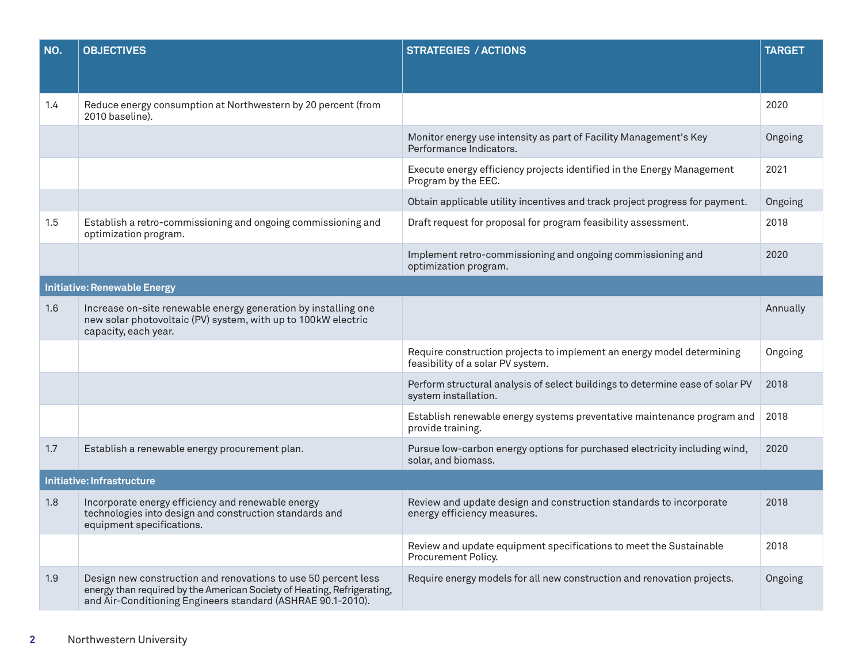| NO.                                 | <b>OBJECTIVES</b>                                                                                                                                                                                        | <b>STRATEGIES / ACTIONS</b>                                                                                 | <b>TARGET</b> |  |  |
|-------------------------------------|----------------------------------------------------------------------------------------------------------------------------------------------------------------------------------------------------------|-------------------------------------------------------------------------------------------------------------|---------------|--|--|
|                                     |                                                                                                                                                                                                          |                                                                                                             |               |  |  |
| 1.4                                 | Reduce energy consumption at Northwestern by 20 percent (from<br>2010 baseline).                                                                                                                         |                                                                                                             | 2020          |  |  |
|                                     |                                                                                                                                                                                                          | Monitor energy use intensity as part of Facility Management's Key<br>Performance Indicators.                | Ongoing       |  |  |
|                                     |                                                                                                                                                                                                          | Execute energy efficiency projects identified in the Energy Management<br>Program by the EEC.               | 2021          |  |  |
|                                     |                                                                                                                                                                                                          | Obtain applicable utility incentives and track project progress for payment.                                | Ongoing       |  |  |
| 1.5                                 | Establish a retro-commissioning and ongoing commissioning and<br>optimization program.                                                                                                                   | Draft request for proposal for program feasibility assessment.                                              | 2018          |  |  |
|                                     |                                                                                                                                                                                                          | Implement retro-commissioning and ongoing commissioning and<br>optimization program.                        | 2020          |  |  |
| <b>Initiative: Renewable Energy</b> |                                                                                                                                                                                                          |                                                                                                             |               |  |  |
| 1.6                                 | Increase on-site renewable energy generation by installing one<br>new solar photovoltaic (PV) system, with up to 100kW electric<br>capacity, each year.                                                  |                                                                                                             | Annually      |  |  |
|                                     |                                                                                                                                                                                                          | Require construction projects to implement an energy model determining<br>feasibility of a solar PV system. | Ongoing       |  |  |
|                                     |                                                                                                                                                                                                          | Perform structural analysis of select buildings to determine ease of solar PV<br>system installation.       | 2018          |  |  |
|                                     |                                                                                                                                                                                                          | Establish renewable energy systems preventative maintenance program and<br>provide training.                | 2018          |  |  |
| 1.7                                 | Establish a renewable energy procurement plan.                                                                                                                                                           | Pursue low-carbon energy options for purchased electricity including wind,<br>solar, and biomass.           | 2020          |  |  |
| Initiative: Infrastructure          |                                                                                                                                                                                                          |                                                                                                             |               |  |  |
| 1.8                                 | Incorporate energy efficiency and renewable energy<br>technologies into design and construction standards and<br>equipment specifications.                                                               | Review and update design and construction standards to incorporate<br>energy efficiency measures.           | 2018          |  |  |
|                                     |                                                                                                                                                                                                          | Review and update equipment specifications to meet the Sustainable<br>Procurement Policy.                   | 2018          |  |  |
| 1.9                                 | Design new construction and renovations to use 50 percent less<br>energy than required by the American Society of Heating, Refrigerating,<br>and Air-Conditioning Engineers standard (ASHRAE 90.1-2010). | Require energy models for all new construction and renovation projects.                                     | Ongoing       |  |  |